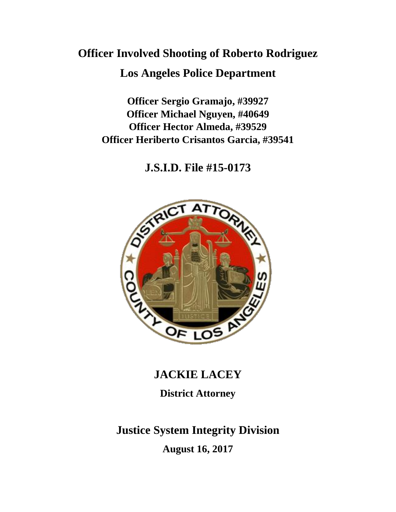# **Officer Involved Shooting of Roberto Rodriguez**

### **Los Angeles Police Department**

**Officer Sergio Gramajo, #39927 Officer Michael Nguyen, #40649 Officer Hector Almeda, #39529 Officer Heriberto Crisantos Garcia, #39541**

**J.S.I.D. File #15-0173**



## **JACKIE LACEY**

## **District Attorney**

## **Justice System Integrity Division August 16, 2017**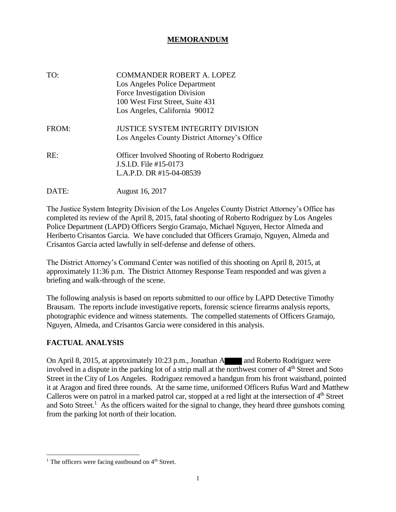#### **MEMORANDUM**

| TO:   | COMMANDER ROBERT A. LOPEZ<br>Los Angeles Police Department<br>Force Investigation Division<br>100 West First Street, Suite 431<br>Los Angeles, California 90012 |
|-------|-----------------------------------------------------------------------------------------------------------------------------------------------------------------|
| FROM: | JUSTICE SYSTEM INTEGRITY DIVISION<br>Los Angeles County District Attorney's Office                                                                              |
| RE:   | <b>Officer Involved Shooting of Roberto Rodriguez</b><br>J.S.I.D. File #15-0173<br>L.A.P.D. DR #15-04-08539                                                     |
| DATE: | August 16, 2017                                                                                                                                                 |

The Justice System Integrity Division of the Los Angeles County District Attorney's Office has completed its review of the April 8, 2015, fatal shooting of Roberto Rodriguez by Los Angeles Police Department (LAPD) Officers Sergio Gramajo, Michael Nguyen, Hector Almeda and Heriberto Crisantos Garcia. We have concluded that Officers Gramajo, Nguyen, Almeda and Crisantos Garcia acted lawfully in self-defense and defense of others.

The District Attorney's Command Center was notified of this shooting on April 8, 2015, at approximately 11:36 p.m. The District Attorney Response Team responded and was given a briefing and walk-through of the scene.

The following analysis is based on reports submitted to our office by LAPD Detective Timothy Brausam. The reports include investigative reports, forensic science firearms analysis reports, photographic evidence and witness statements. The compelled statements of Officers Gramajo, Nguyen, Almeda, and Crisantos Garcia were considered in this analysis.

#### **FACTUAL ANALYSIS**

On April 8, 2015, at approximately 10:23 p.m., Jonathan A and Roberto Rodriguez were involved in a dispute in the parking lot of a strip mall at the northwest corner of  $4<sup>th</sup>$  Street and Soto Street in the City of Los Angeles. Rodriguez removed a handgun from his front waistband, pointed it at Aragon and fired three rounds. At the same time, uniformed Officers Rufus Ward and Matthew Calleros were on patrol in a marked patrol car, stopped at a red light at the intersection of  $4<sup>th</sup>$  Street and Soto Street.<sup>1</sup> As the officers waited for the signal to change, they heard three gunshots coming from the parking lot north of their location.

<sup>&</sup>lt;sup>1</sup> The officers were facing eastbound on  $4<sup>th</sup>$  Street.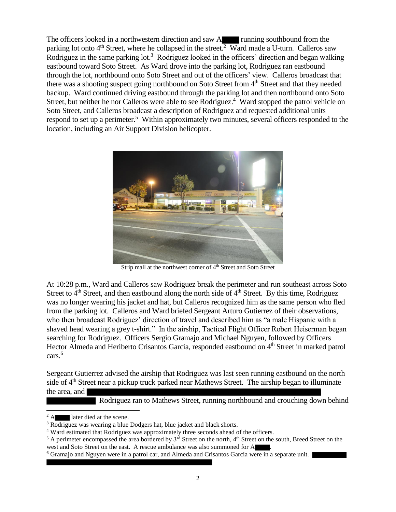The officers looked in a northwestern direction and saw A running southbound from the parking lot onto  $4<sup>th</sup>$  Street, where he collapsed in the street.<sup>2</sup> Ward made a U-turn. Calleros saw Rodriguez in the same parking lot.<sup>3</sup> Rodriguez looked in the officers' direction and began walking eastbound toward Soto Street. As Ward drove into the parking lot, Rodriguez ran eastbound through the lot, northbound onto Soto Street and out of the officers' view. Calleros broadcast that there was a shooting suspect going northbound on Soto Street from 4<sup>th</sup> Street and that they needed backup. Ward continued driving eastbound through the parking lot and then northbound onto Soto Street, but neither he nor Calleros were able to see Rodriguez.<sup>4</sup> Ward stopped the patrol vehicle on Soto Street, and Calleros broadcast a description of Rodriguez and requested additional units respond to set up a perimeter.<sup>5</sup> Within approximately two minutes, several officers responded to the location, including an Air Support Division helicopter.



Strip mall at the northwest corner of 4<sup>th</sup> Street and Soto Street

At 10:28 p.m., Ward and Calleros saw Rodriguez break the perimeter and run southeast across Soto Street to  $4<sup>th</sup>$  Street, and then eastbound along the north side of  $4<sup>th</sup>$  Street. By this time, Rodriguez was no longer wearing his jacket and hat, but Calleros recognized him as the same person who fled from the parking lot. Calleros and Ward briefed Sergeant Arturo Gutierrez of their observations, who then broadcast Rodriguez' direction of travel and described him as "a male Hispanic with a shaved head wearing a grey t-shirt." In the airship, Tactical Flight Officer Robert Heiserman began searching for Rodriguez. Officers Sergio Gramajo and Michael Nguyen, followed by Officers Hector Almeda and Heriberto Crisantos Garcia, responded eastbound on 4<sup>th</sup> Street in marked patrol cars.<sup>6</sup>

Sergeant Gutierrez advised the airship that Rodriguez was last seen running eastbound on the north side of 4<sup>th</sup> Street near a pickup truck parked near Mathews Street. The airship began to illuminate the area, and

Rodriguez ran to Mathews Street, running northbound and crouching down behind

<sup>&</sup>lt;sup>2</sup> A later died at the scene.

<sup>&</sup>lt;sup>3</sup> Rodriguez was wearing a blue Dodgers hat, blue jacket and black shorts.

<sup>4</sup> Ward estimated that Rodriguez was approximately three seconds ahead of the officers.

<sup>&</sup>lt;sup>5</sup> A perimeter encompassed the area bordered by  $3^{rd}$  Street on the north,  $4^{th}$  Street on the south, Breed Street on the west and Soto Street on the east. A rescue ambulance was also summoned for A

<sup>&</sup>lt;sup>6</sup> Gramajo and Nguyen were in a patrol car, and Almeda and Crisantos Garcia were in a separate unit.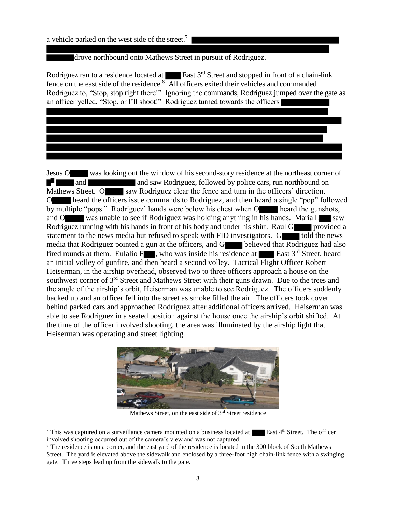a vehicle parked on the west side of the street.<sup>7</sup>

drove northbound onto Mathews Street in pursuit of Rodriguez.

Rodriguez ran to a residence located at  $\blacksquare$  East 3<sup>rd</sup> Street and stopped in front of a chain-link fence on the east side of the residence.<sup>8</sup> All officers exited their vehicles and commanded Rodriguez to, "Stop, stop right there!" Ignoring the commands, Rodriguez jumped over the gate as an officer yelled, "Stop, or I'll shoot!" Rodriguez turned towards the officers

Jesus O was looking out the window of his second-story residence at the northeast corner of and and saw Rodriguez, followed by police cars, run northbound on E-LI Mathews Street. O saw Rodriguez clear the fence and turn in the officers' direction. O heard the officers issue commands to Rodriguez, and then heard a single "pop" followed by multiple "pops." Rodriguez' hands were below his chest when O heard the gunshots, and O was unable to see if Rodriguez was holding anything in his hands. Maria L saw Rodriguez running with his hands in front of his body and under his shirt. Raul G provided a statement to the news media but refused to speak with FID investigators. G told the news media that Rodriguez pointed a gun at the officers, and G believed that Rodriguez had also fired rounds at them. Eulalio F , who was inside his residence at East  $3<sup>rd</sup>$  Street, heard an initial volley of gunfire, and then heard a second volley. Tactical Flight Officer Robert Heiserman, in the airship overhead, observed two to three officers approach a house on the southwest corner of 3<sup>rd</sup> Street and Mathews Street with their guns drawn. Due to the trees and the angle of the airship's orbit, Heiserman was unable to see Rodriguez. The officers suddenly backed up and an officer fell into the street as smoke filled the air. The officers took cover behind parked cars and approached Rodriguez after additional officers arrived. Heiserman was able to see Rodriguez in a seated position against the house once the airship's orbit shifted. At the time of the officer involved shooting, the area was illuminated by the airship light that Heiserman was operating and street lighting.



Mathews Street, on the east side of 3<sup>rd</sup> Street residence

 $\overline{\phantom{a}}$ 

 $7$  This was captured on a surveillance camera mounted on a business located at East  $4<sup>th</sup>$  Street. The officer involved shooting occurred out of the camera's view and was not captured.

<sup>8</sup> The residence is on a corner, and the east yard of the residence is located in the 300 block of South Mathews Street. The yard is elevated above the sidewalk and enclosed by a three-foot high chain-link fence with a swinging gate. Three steps lead up from the sidewalk to the gate.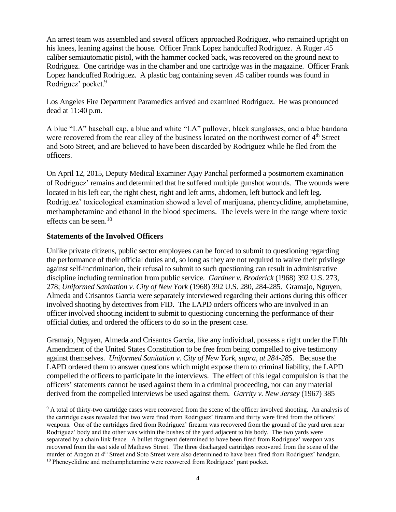An arrest team was assembled and several officers approached Rodriguez, who remained upright on his knees, leaning against the house. Officer Frank Lopez handcuffed Rodriguez. A Ruger .45 caliber semiautomatic pistol, with the hammer cocked back, was recovered on the ground next to Rodriguez. One cartridge was in the chamber and one cartridge was in the magazine. Officer Frank Lopez handcuffed Rodriguez. A plastic bag containing seven .45 caliber rounds was found in Rodriguez' pocket.<sup>9</sup>

Los Angeles Fire Department Paramedics arrived and examined Rodriguez. He was pronounced dead at 11:40 p.m.

A blue "LA" baseball cap, a blue and white "LA" pullover, black sunglasses, and a blue bandana were recovered from the rear alley of the business located on the northwest corner of 4<sup>th</sup> Street and Soto Street, and are believed to have been discarded by Rodriguez while he fled from the officers.

On April 12, 2015, Deputy Medical Examiner Ajay Panchal performed a postmortem examination of Rodriguez' remains and determined that he suffered multiple gunshot wounds. The wounds were located in his left ear, the right chest, right and left arms, abdomen, left buttock and left leg. Rodriguez' toxicological examination showed a level of marijuana, phencyclidine, amphetamine, methamphetamine and ethanol in the blood specimens. The levels were in the range where toxic effects can be seen.<sup>10</sup>

#### **Statements of the Involved Officers**

 $\overline{a}$ 

Unlike private citizens, public sector employees can be forced to submit to questioning regarding the performance of their official duties and, so long as they are not required to waive their privilege against self-incrimination, their refusal to submit to such questioning can result in administrative discipline including termination from public service. *Gardner v. Broderick* (1968) 392 U.S. 273, 278; *Uniformed Sanitation v. City of New York* (1968) 392 U.S. 280, 284-285. Gramajo, Nguyen, Almeda and Crisantos Garcia were separately interviewed regarding their actions during this officer involved shooting by detectives from FID. The LAPD orders officers who are involved in an officer involved shooting incident to submit to questioning concerning the performance of their official duties, and ordered the officers to do so in the present case.

Gramajo, Nguyen, Almeda and Crisantos Garcia, like any individual, possess a right under the Fifth Amendment of the United States Constitution to be free from being compelled to give testimony against themselves. *Uniformed Sanitation v. City of New York, supra, at 284-285.* Because the LAPD ordered them to answer questions which might expose them to criminal liability, the LAPD compelled the officers to participate in the interviews. The effect of this legal compulsion is that the officers' statements cannot be used against them in a criminal proceeding, nor can any material derived from the compelled interviews be used against them. *Garrity v. New Jersey* (1967) 385

<sup>9</sup> A total of thirty-two cartridge cases were recovered from the scene of the officer involved shooting. An analysis of the cartridge cases revealed that two were fired from Rodriguez' firearm and thirty were fired from the officers' weapons. One of the cartridges fired from Rodriguez' firearm was recovered from the ground of the yard area near Rodriguez' body and the other was within the bushes of the yard adjacent to his body. The two yards were separated by a chain link fence. A bullet fragment determined to have been fired from Rodriguez' weapon was recovered from the east side of Mathews Street. The three discharged cartridges recovered from the scene of the murder of Aragon at 4<sup>th</sup> Street and Soto Street were also determined to have been fired from Rodriguez' handgun. <sup>10</sup> Phencyclidine and methamphetamine were recovered from Rodriguez' pant pocket.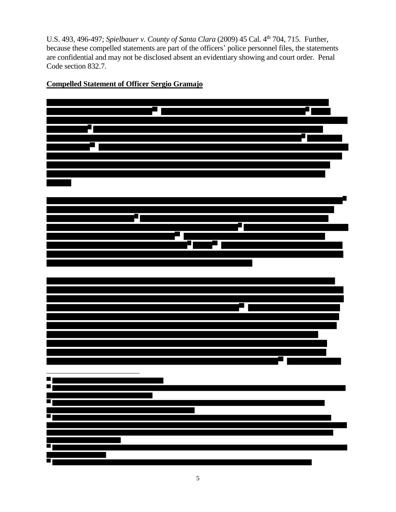U.S. 493, 496-497; *Spielbauer v. County of Santa Clara* (2009) 45 Cal. 4<sup>th</sup> 704, 715. Further, because these compelled statements are part of the officers' police personnel files, the statements are confidential and may not be disclosed absent an evidentiary showing and court order. Penal Code section 832.7.



**Compelled Statement of Officer Sergio Gramajo**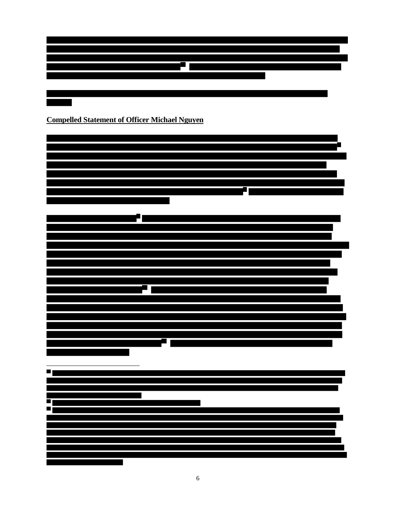

### **Compelled Statement of Officer Michael Nguyen**

 $\overline{\phantom{a}}$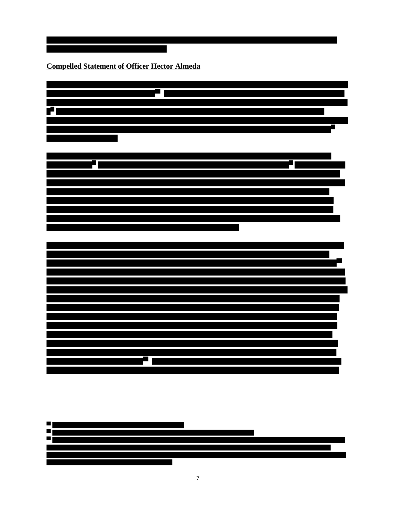**Compelled Statement of Officer Hector Almeda**



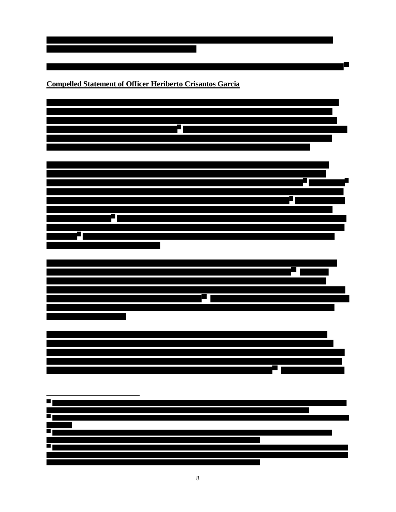**Compelled Statement of Officer Heriberto Crisantos Garcia**



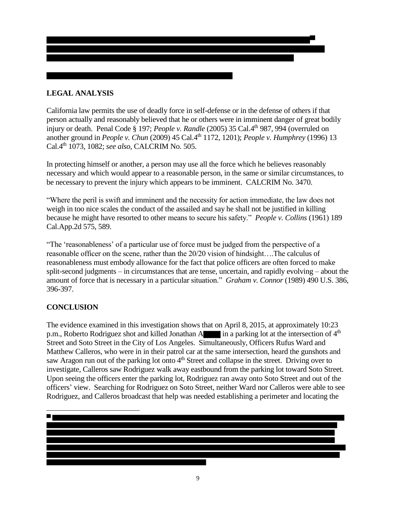#### **LEGAL ANALYSIS**

California law permits the use of deadly force in self-defense or in the defense of others if that person actually and reasonably believed that he or others were in imminent danger of great bodily injury or death. Penal Code § 197; *People v. Randle* (2005) 35 Cal.4<sup>th</sup> 987, 994 (overruled on another ground in *People v. Chun* (2009) 45 Cal.4<sup>th</sup> 1172, 1201); *People v. Humphrey* (1996) 13 Cal.4th 1073, 1082; *see also,* CALCRIM No. 505.

In protecting himself or another, a person may use all the force which he believes reasonably necessary and which would appear to a reasonable person, in the same or similar circumstances, to be necessary to prevent the injury which appears to be imminent. CALCRIM No. 3470.

"Where the peril is swift and imminent and the necessity for action immediate, the law does not weigh in too nice scales the conduct of the assailed and say he shall not be justified in killing because he might have resorted to other means to secure his safety." *People v. Collins* (1961) 189 Cal.App.2d 575, 589.

"The 'reasonableness' of a particular use of force must be judged from the perspective of a reasonable officer on the scene, rather than the 20/20 vision of hindsight….The calculus of reasonableness must embody allowance for the fact that police officers are often forced to make split-second judgments – in circumstances that are tense, uncertain, and rapidly evolving – about the amount of force that is necessary in a particular situation." *Graham v. Connor* (1989) 490 U.S. 386, 396-397.

#### **CONCLUSION**

The evidence examined in this investigation shows that on April 8, 2015, at approximately 10:23 p.m., Roberto Rodriguez shot and killed Jonathan A in a parking lot at the intersection of  $4<sup>th</sup>$ Street and Soto Street in the City of Los Angeles. Simultaneously, Officers Rufus Ward and Matthew Calleros, who were in in their patrol car at the same intersection, heard the gunshots and saw Aragon run out of the parking lot onto  $4<sup>th</sup>$  Street and collapse in the street. Driving over to investigate, Calleros saw Rodriguez walk away eastbound from the parking lot toward Soto Street. Upon seeing the officers enter the parking lot, Rodriguez ran away onto Soto Street and out of the officers' view. Searching for Rodriguez on Soto Street, neither Ward nor Calleros were able to see Rodriguez, and Calleros broadcast that help was needed establishing a perimeter and locating the

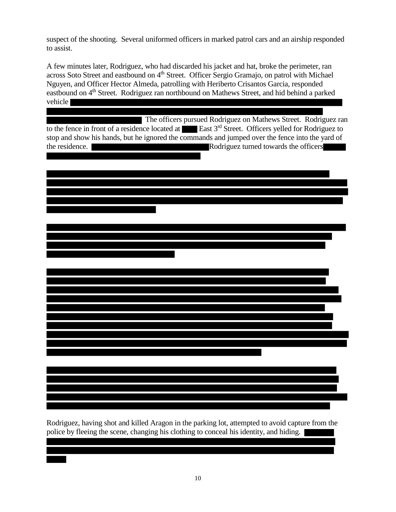suspect of the shooting. Several uniformed officers in marked patrol cars and an airship responded to assist.

A few minutes later, Rodriguez, who had discarded his jacket and hat, broke the perimeter, ran across Soto Street and eastbound on 4<sup>th</sup> Street. Officer Sergio Gramajo, on patrol with Michael Nguyen, and Officer Hector Almeda, patrolling with Heriberto Crisantos Garcia, responded eastbound on 4<sup>th</sup> Street. Rodriguez ran northbound on Mathews Street, and hid behind a parked vehicle

 The officers pursued Rodriguez on Mathews Street. Rodriguez ran to the fence in front of a residence located at **East**  $3<sup>rd</sup>$  Street. Officers yelled for Rodriguez to stop and show his hands, but he ignored the commands and jumped over the fence into the yard of the residence.  $\overline{\phantom{a}}$ 

Rodriguez, having shot and killed Aragon in the parking lot, attempted to avoid capture from the police by fleeing the scene, changing his clothing to conceal his identity, and hiding.